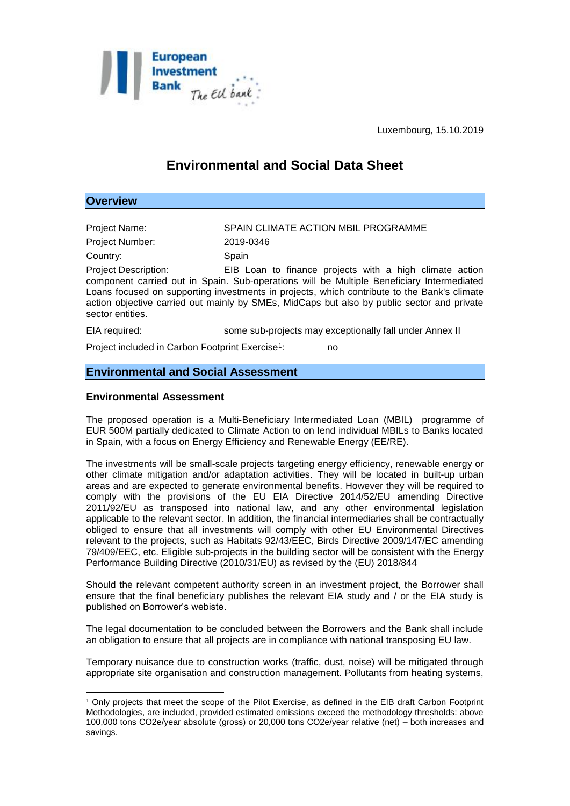

Luxembourg, 15.10.2019

# **Environmental and Social Data Sheet**

## **Overview**

1

Project Name: SPAIN CLIMATE ACTION MBIL PROGRAMME Project Number: 2019-0346 Country: Spain Project Description: EIB Loan to finance projects with a high climate action component carried out in Spain. Sub-operations will be Multiple Beneficiary Intermediated Loans focused on supporting investments in projects, which contribute to the Bank's climate action objective carried out mainly by SMEs, MidCaps but also by public sector and private sector entities. EIA required: some sub-projects may exceptionally fall under Annex II

Project included in Carbon Footprint Exercise<sup>1</sup>: : no

# **Environmental and Social Assessment**

#### **Environmental Assessment**

The proposed operation is a Multi-Beneficiary Intermediated Loan (MBIL) programme of EUR 500M partially dedicated to Climate Action to on lend individual MBILs to Banks located in Spain, with a focus on Energy Efficiency and Renewable Energy (EE/RE).

The investments will be small-scale projects targeting energy efficiency, renewable energy or other climate mitigation and/or adaptation activities. They will be located in built-up urban areas and are expected to generate environmental benefits. However they will be required to comply with the provisions of the EU EIA Directive 2014/52/EU amending Directive 2011/92/EU as transposed into national law, and any other environmental legislation applicable to the relevant sector. In addition, the financial intermediaries shall be contractually obliged to ensure that all investments will comply with other EU Environmental Directives relevant to the projects, such as Habitats 92/43/EEC, Birds Directive 2009/147/EC amending 79/409/EEC, etc. Eligible sub-projects in the building sector will be consistent with the Energy Performance Building Directive (2010/31/EU) as revised by the (EU) 2018/844

Should the relevant competent authority screen in an investment project, the Borrower shall ensure that the final beneficiary publishes the relevant EIA study and / or the EIA study is published on Borrower's webiste.

The legal documentation to be concluded between the Borrowers and the Bank shall include an obligation to ensure that all projects are in compliance with national transposing EU law.

Temporary nuisance due to construction works (traffic, dust, noise) will be mitigated through appropriate site organisation and construction management. Pollutants from heating systems,

 $1$  Only projects that meet the scope of the Pilot Exercise, as defined in the EIB draft Carbon Footprint Methodologies, are included, provided estimated emissions exceed the methodology thresholds: above 100,000 tons CO2e/year absolute (gross) or 20,000 tons CO2e/year relative (net) – both increases and savings.